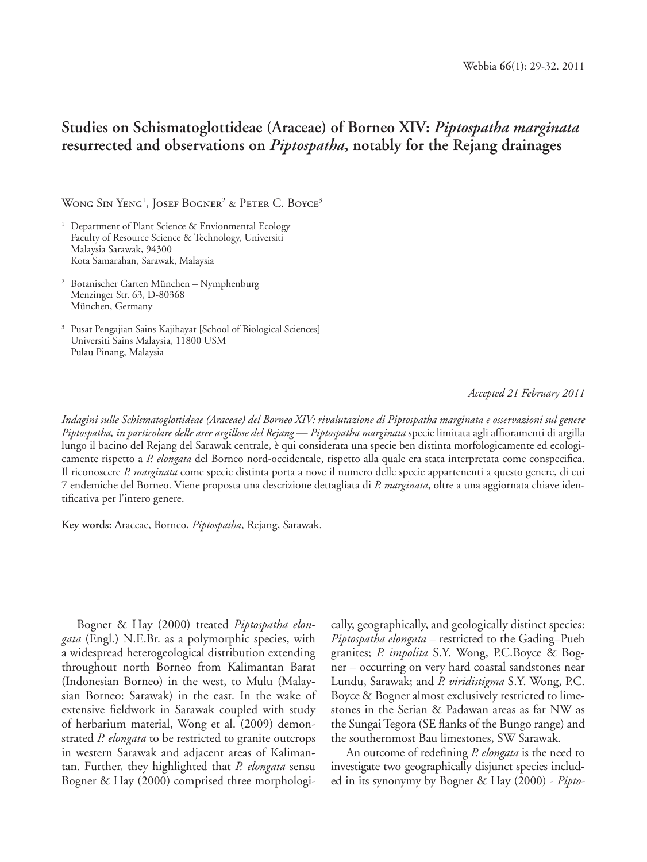## **Studies on Schismatoglottideae (Araceae) of Borneo XIV:** *Piptospatha marginata* **resurrected and observations on** *Piptospatha***, notably for the Rejang drainages**

Wong Sin Yeng<sup>1</sup>, Josef Bogner<sup>2</sup> & Peter C. Boyce<sup>3</sup>

- <sup>1</sup> Department of Plant Science & Envionmental Ecology Faculty of Resource Science & Technology, Universiti Malaysia Sarawak, 94300 Kota Samarahan, Sarawak, Malaysia
- 2 Botanischer Garten München Nymphenburg Menzinger Str. 63, D-80368 München, Germany
- <sup>3</sup> Pusat Pengajian Sains Kajihayat [School of Biological Sciences] Universiti Sains Malaysia, 11800 USM Pulau Pinang, Malaysia

*Accepted 21 February 2011*

*Indagini sulle Schismatoglottideae (Araceae) del Borneo XIV: rivalutazione di Piptospatha marginata e osservazioni sul genere Piptospatha, in particolare delle aree argillose del Rejang — Piptospatha marginata* specie limitata agli affioramenti di argilla lungo il bacino del Rejang del Sarawak centrale, è qui considerata una specie ben distinta morfologicamente ed ecologicamente rispetto a *P. elongata* del Borneo nord-occidentale, rispetto alla quale era stata interpretata come conspecifica. Il riconoscere *P. marginata* come specie distinta porta a nove il numero delle specie appartenenti a questo genere, di cui 7 endemiche del Borneo. Viene proposta una descrizione dettagliata di *P. marginata*, oltre a una aggiornata chiave identificativa per l'intero genere.

**Key words:** Araceae, Borneo, *Piptospatha*, Rejang, Sarawak.

Bogner & Hay (2000) treated *Piptospatha elongata* (Engl.) N.E.Br. as a polymorphic species, with a widespread heterogeological distribution extending throughout north Borneo from Kalimantan Barat (Indonesian Borneo) in the west, to Mulu (Malaysian Borneo: Sarawak) in the east. In the wake of extensive fieldwork in Sarawak coupled with study of herbarium material, Wong et al. (2009) demonstrated *P. elongata* to be restricted to granite outcrops in western Sarawak and adjacent areas of Kalimantan. Further, they highlighted that *P. elongata* sensu Bogner & Hay (2000) comprised three morphologically, geographically, and geologically distinct species: *Piptospatha elongata –* restricted to the Gading–Pueh granites; *P. impolita* S.Y. Wong, P.C.Boyce & Bogner – occurring on very hard coastal sandstones near Lundu, Sarawak; and *P. viridistigma* S.Y. Wong, P.C. Boyce & Bogner almost exclusively restricted to limestones in the Serian & Padawan areas as far NW as the Sungai Tegora (SE flanks of the Bungo range) and the southernmost Bau limestones, SW Sarawak.

An outcome of redefining *P. elongata* is the need to investigate two geographically disjunct species included in its synonymy by Bogner & Hay (2000) - *Pipto-*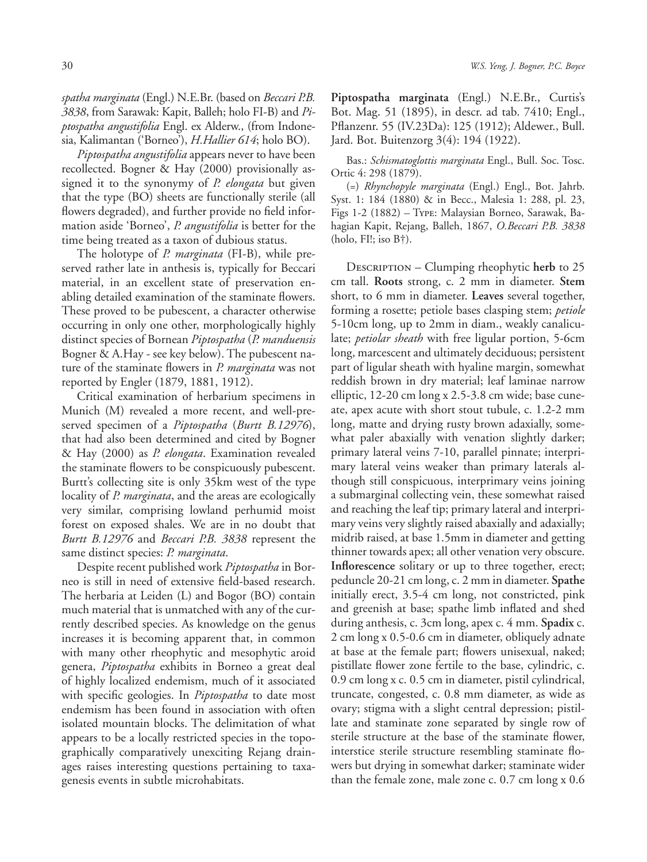*spatha marginata* (Engl.) N.E.Br. (based on *Beccari P.B. 3838*, from Sarawak: Kapit, Balleh; holo FI-B) and *Piptospatha angustifolia* Engl. ex Alderw., (from Indonesia, Kalimantan ('Borneo'), *H.Hallier 614*; holo BO).

*Piptospatha angustifolia* appears never to have been recollected. Bogner & Hay (2000) provisionally assigned it to the synonymy of *P. elongata* but given that the type (BO) sheets are functionally sterile (all flowers degraded), and further provide no field information aside 'Borneo', *P. angustifolia* is better for the time being treated as a taxon of dubious status.

The holotype of *P. marginata* (FI-B), while preserved rather late in anthesis is, typically for Beccari material, in an excellent state of preservation enabling detailed examination of the staminate flowers. These proved to be pubescent, a character otherwise occurring in only one other, morphologically highly distinct species of Bornean *Piptospatha* (*P. manduensis* Bogner & A.Hay - see key below). The pubescent nature of the staminate flowers in *P. marginata* was not reported by Engler (1879, 1881, 1912).

Critical examination of herbarium specimens in Munich (M) revealed a more recent, and well-preserved specimen of a *Piptospatha* (*Burtt B.12976*), that had also been determined and cited by Bogner & Hay (2000) as *P. elongata*. Examination revealed the staminate flowers to be conspicuously pubescent. Burtt's collecting site is only 35km west of the type locality of *P. marginata*, and the areas are ecologically very similar, comprising lowland perhumid moist forest on exposed shales. We are in no doubt that *Burtt B.12976* and *Beccari P.B. 3838* represent the same distinct species: *P. marginata*.

Despite recent published work *Piptospatha* in Borneo is still in need of extensive field-based research. The herbaria at Leiden (L) and Bogor (BO) contain much material that is unmatched with any of the currently described species. As knowledge on the genus increases it is becoming apparent that, in common with many other rheophytic and mesophytic aroid genera, *Piptospatha* exhibits in Borneo a great deal of highly localized endemism, much of it associated with specific geologies. In *Piptospatha* to date most endemism has been found in association with often isolated mountain blocks. The delimitation of what appears to be a locally restricted species in the topographically comparatively unexciting Rejang drainages raises interesting questions pertaining to taxagenesis events in subtle microhabitats.

**Piptospatha marginata** (Engl.) N.E.Br., Curtis's Bot. Mag. 51 (1895), in descr. ad tab. 7410; Engl., Pflanzenr. 55 (IV.23Da): 125 (1912); Aldewer., Bull. Jard. Bot. Buitenzorg 3(4): 194 (1922).

Bas.: *Schismatoglottis marginata* Engl., Bull. Soc. Tosc. Ortic 4: 298 (1879).

(=) *Rhynchopyle marginata* (Engl.) Engl., Bot. Jahrb. Syst. 1: 184 (1880) & in Becc., Malesia 1: 288, pl. 23, Figs 1-2 (1882) – Type: Malaysian Borneo, Sarawak, Bahagian Kapit, Rejang, Balleh, 1867, *O.Beccari P.B. 3838*  (holo, FI!; iso B†).

DESCRIPTION – Clumping rheophytic herb to 25 cm tall. **Roots** strong, c. 2 mm in diameter. **Stem** short, to 6 mm in diameter. **Leaves** several together, forming a rosette; petiole bases clasping stem; *petiole* 5-10cm long, up to 2mm in diam., weakly canaliculate; *petiolar sheath* with free ligular portion, 5-6cm long, marcescent and ultimately deciduous; persistent part of ligular sheath with hyaline margin, somewhat reddish brown in dry material; leaf laminae narrow elliptic, 12-20 cm long x 2.5-3.8 cm wide; base cuneate, apex acute with short stout tubule, c. 1.2-2 mm long, matte and drying rusty brown adaxially, somewhat paler abaxially with venation slightly darker; primary lateral veins 7-10, parallel pinnate; interprimary lateral veins weaker than primary laterals although still conspicuous, interprimary veins joining a submarginal collecting vein, these somewhat raised and reaching the leaf tip; primary lateral and interprimary veins very slightly raised abaxially and adaxially; midrib raised, at base 1.5mm in diameter and getting thinner towards apex; all other venation very obscure. Inflorescence solitary or up to three together, erect; peduncle 20-21 cm long, c. 2 mm in diameter. **Spathe** initially erect, 3.5-4 cm long, not constricted, pink and greenish at base; spathe limb inflated and shed during anthesis, c. 3cm long, apex c. 4 mm. **Spadix** c. 2 cm long x 0.5-0.6 cm in diameter, obliquely adnate at base at the female part; flowers unisexual, naked; pistillate flower zone fertile to the base, cylindric, c. 0.9 cm long x c. 0.5 cm in diameter, pistil cylindrical, truncate, congested, c. 0.8 mm diameter, as wide as ovary; stigma with a slight central depression; pistillate and staminate zone separated by single row of sterile structure at the base of the staminate flower, interstice sterile structure resembling staminate flowers but drying in somewhat darker; staminate wider than the female zone, male zone c. 0.7 cm long x 0.6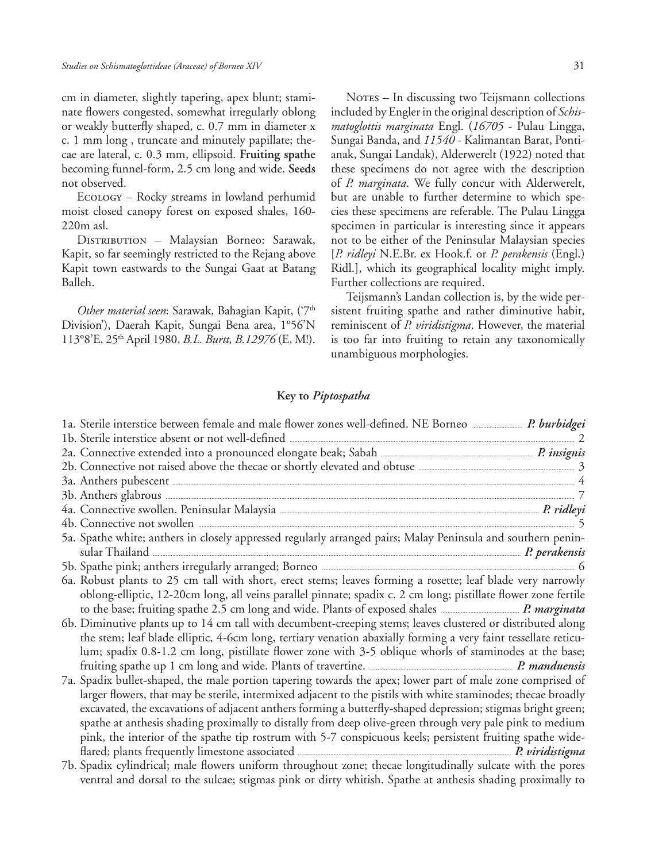cm in diameter, slightly tapering, apex blunt; staminate flowers congested, somewhat irregularly oblong or weakly butterfly shaped, c. 0.7 mm in diameter x c. 1 mm long , truncate and minutely papillate; thecae are lateral, c. 0.3 mm, ellipsoid. **Fruiting spathe** becoming funnel-form, 2.5 cm long and wide. **Seeds** not observed.

Ecology – Rocky streams in lowland perhumid moist closed canopy forest on exposed shales, 160- 220m asl.

DISTRIBUTION - Malaysian Borneo: Sarawak, Kapit, so far seemingly restricted to the Rejang above Kapit town eastwards to the Sungai Gaat at Batang Balleh.

*Other material seen*: Sarawak, Bahagian Kapit, ('7th Division'), Daerah Kapit, Sungai Bena area, 1°56'N 113°8'E, 25th April 1980, *B.L. Burtt, B.12976* (E, M!).

Notes – In discussing two Teijsmann collections included by Engler in the original description of *Schismatoglottis marginata* Engl. (*16705* - Pulau Lingga, Sungai Banda, and *11540 -* Kalimantan Barat, Pontianak, Sungai Landak), Alderwerelt (1922) noted that these specimens do not agree with the description of *P. marginata*. We fully concur with Alderwerelt, but are unable to further determine to which species these specimens are referable. The Pulau Lingga specimen in particular is interesting since it appears not to be either of the Peninsular Malaysian species [*P. ridleyi* N.E.Br. ex Hook.f. or *P. perakensis* (Engl.) Ridl.], which its geographical locality might imply. Further collections are required.

Teijsmann's Landan collection is, by the wide persistent fruiting spathe and rather diminutive habit, reminiscent of *P. viridistigma*. However, the material is too far into fruiting to retain any taxonomically unambiguous morphologies.

## **Key to** *Piptospatha*

| 1b. Sterile interstice absent or not well-defined <u>contained and contained</u> a sterile interstice absent or not well-defined contained a step and a step of the step and a step of the step and step and step and step and step  |  |
|--------------------------------------------------------------------------------------------------------------------------------------------------------------------------------------------------------------------------------------|--|
|                                                                                                                                                                                                                                      |  |
| 2b. Connective not raised above the thecae or shortly elevated and obtuse <b>Exercise 20</b> 3                                                                                                                                       |  |
|                                                                                                                                                                                                                                      |  |
| 3a. Anthers pubescent <u>and the second of the second second and second second second second second second second second second second second second second second second second second second second second second second secon</u> |  |
|                                                                                                                                                                                                                                      |  |
|                                                                                                                                                                                                                                      |  |
| 5a. Spathe white; anthers in closely appressed regularly arranged pairs; Malay Peninsula and southern penin-                                                                                                                         |  |
|                                                                                                                                                                                                                                      |  |
|                                                                                                                                                                                                                                      |  |
| 6a. Robust plants to 25 cm tall with short, erect stems; leaves forming a rosette; leaf blade very narrowly                                                                                                                          |  |
| oblong-elliptic, 12-20cm long, all veins parallel pinnate; spadix c. 2 cm long; pistillate flower zone fertile                                                                                                                       |  |
|                                                                                                                                                                                                                                      |  |
| 6b. Diminutive plants up to 14 cm tall with decumbent-creeping stems; leaves clustered or distributed along                                                                                                                          |  |
| the stem; leaf blade elliptic, 4-6cm long, tertiary venation abaxially forming a very faint tessellate reticu-                                                                                                                       |  |
| lum; spadix 0.8-1.2 cm long, pistillate flower zone with 3-5 oblique whorls of staminodes at the base;                                                                                                                               |  |
|                                                                                                                                                                                                                                      |  |
| 7a. Spadix bullet-shaped, the male portion tapering towards the apex; lower part of male zone comprised of                                                                                                                           |  |
| larger flowers, that may be sterile, intermixed adjacent to the pistils with white staminodes; thecae broadly                                                                                                                        |  |
| excavated, the excavations of adjacent anthers forming a butterfly-shaped depression; stigmas bright green;                                                                                                                          |  |
| spathe at anthesis shading proximally to distally from deep olive-green through very pale pink to medium                                                                                                                             |  |
| pink, the interior of the spathe tip rostrum with 5-7 conspicuous keels; persistent fruiting spathe wide-                                                                                                                            |  |
|                                                                                                                                                                                                                                      |  |
| 7b. Spadix cylindrical; male flowers uniform throughout zone; thecae longitudinally sulcate with the pores                                                                                                                           |  |

ventral and dorsal to the sulcae; stigmas pink or dirty whitish. Spathe at anthesis shading proximally to